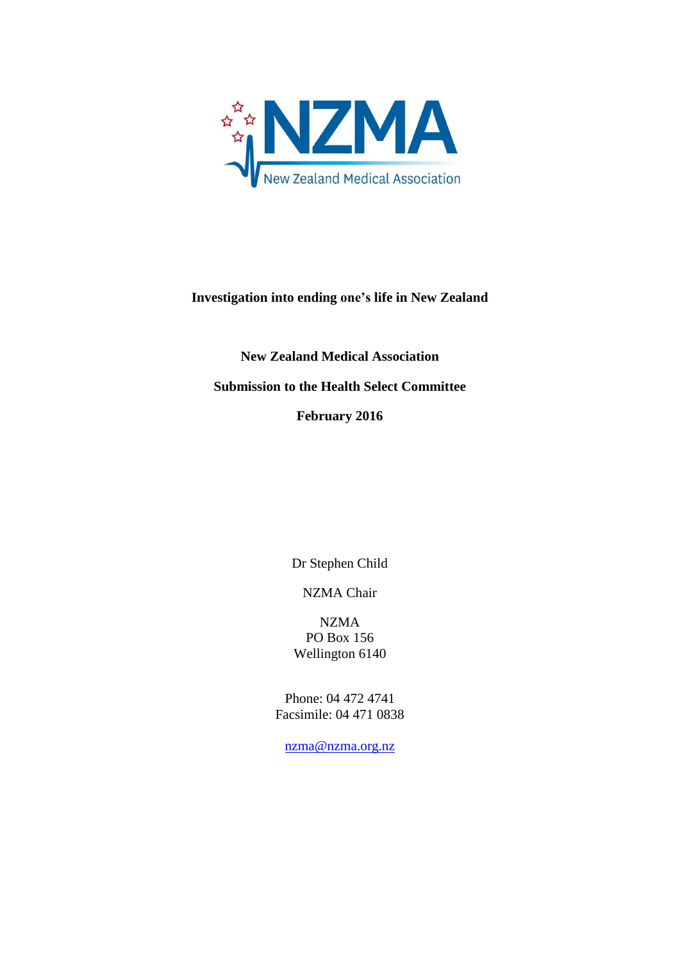

# **Investigation into ending one's life in New Zealand**

**New Zealand Medical Association Submission to the Health Select Committee February 2016**

Dr Stephen Child

NZMA Chair

NZMA PO Box 156 Wellington 6140

Phone: 04 472 4741 Facsimile: 04 471 0838

[nzma@nzma.org.nz](mailto:nzma@nzma.org.nz)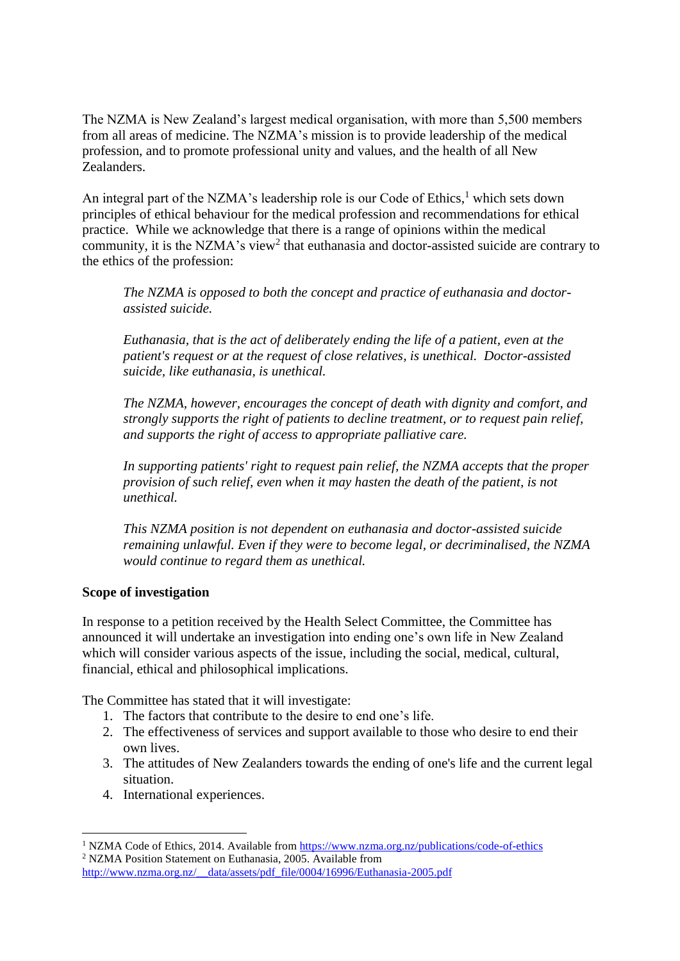The NZMA is New Zealand's largest medical organisation, with more than 5,500 members from all areas of medicine. The NZMA's mission is to provide leadership of the medical profession, and to promote professional unity and values, and the health of all New Zealanders.

An integral part of the NZMA's leadership role is our Code of Ethics,<sup>1</sup> which sets down principles of ethical behaviour for the medical profession and recommendations for ethical practice. While we acknowledge that there is a range of opinions within the medical community, it is the NZMA's view<sup>2</sup> that euthanasia and doctor-assisted suicide are contrary to the ethics of the profession:

*The NZMA is opposed to both the concept and practice of euthanasia and doctorassisted suicide.*

*Euthanasia, that is the act of deliberately ending the life of a patient, even at the patient's request or at the request of close relatives, is unethical. Doctor-assisted suicide, like euthanasia, is unethical.*

*The NZMA, however, encourages the concept of death with dignity and comfort, and strongly supports the right of patients to decline treatment, or to request pain relief, and supports the right of access to appropriate palliative care.* 

*In supporting patients' right to request pain relief, the NZMA accepts that the proper provision of such relief, even when it may hasten the death of the patient, is not unethical.* 

*This NZMA position is not dependent on euthanasia and doctor-assisted suicide remaining unlawful. Even if they were to become legal, or decriminalised, the NZMA would continue to regard them as unethical.* 

## **Scope of investigation**

In response to a petition received by the Health Select Committee, the Committee has announced it will undertake an investigation into ending one's own life in New Zealand which will consider various aspects of the issue, including the social, medical, cultural, financial, ethical and philosophical implications.

The Committee has stated that it will investigate:

- 1. The factors that contribute to the desire to end one's life.
- 2. The effectiveness of services and support available to those who desire to end their own lives.
- 3. The attitudes of New Zealanders towards the ending of one's life and the current legal situation.
- 4. International experiences.

1

[http://www.nzma.org.nz/\\_\\_data/assets/pdf\\_file/0004/16996/Euthanasia-2005.pdf](http://www.nzma.org.nz/__data/assets/pdf_file/0004/16996/Euthanasia-2005.pdf)

<sup>&</sup>lt;sup>1</sup> NZMA Code of Ethics, 2014. Available from<https://www.nzma.org.nz/publications/code-of-ethics> <sup>2</sup> NZMA Position Statement on Euthanasia, 2005. Available from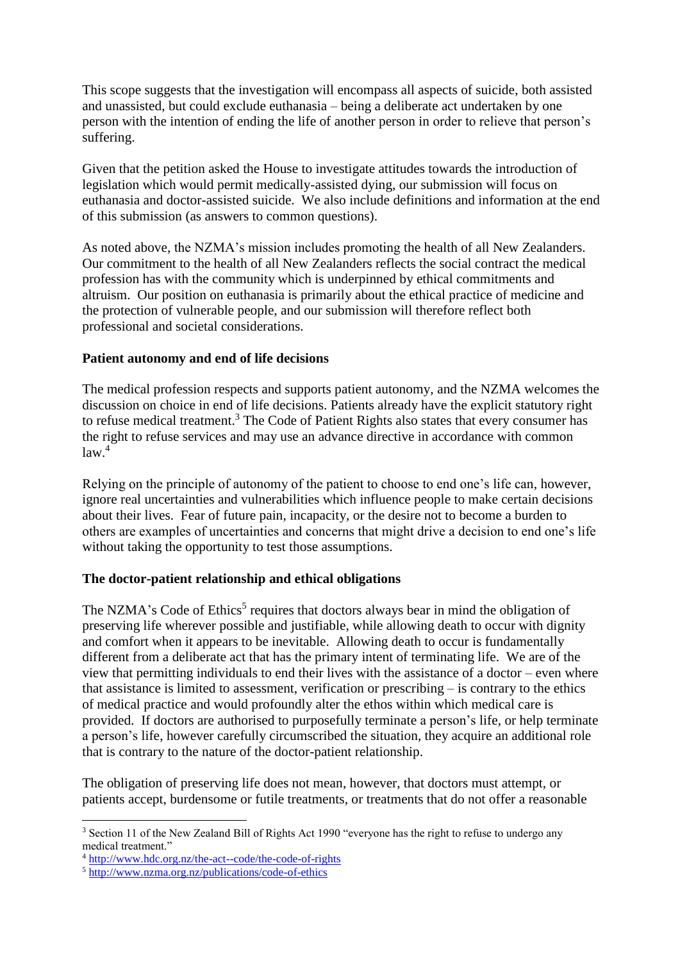This scope suggests that the investigation will encompass all aspects of suicide, both assisted and unassisted, but could exclude euthanasia – being a deliberate act undertaken by one person with the intention of ending the life of another person in order to relieve that person's suffering.

Given that the petition asked the House to investigate attitudes towards the introduction of legislation which would permit medically-assisted dying, our submission will focus on euthanasia and doctor-assisted suicide. We also include definitions and information at the end of this submission (as answers to common questions).

As noted above, the NZMA's mission includes promoting the health of all New Zealanders. Our commitment to the health of all New Zealanders reflects the social contract the medical profession has with the community which is underpinned by ethical commitments and altruism. Our position on euthanasia is primarily about the ethical practice of medicine and the protection of vulnerable people, and our submission will therefore reflect both professional and societal considerations.

## **Patient autonomy and end of life decisions**

The medical profession respects and supports patient autonomy, and the NZMA welcomes the discussion on choice in end of life decisions. Patients already have the explicit statutory right to refuse medical treatment.<sup>3</sup> The Code of Patient Rights also states that every consumer has the right to refuse services and may use an advance directive in accordance with common  $law<sup>4</sup>$ 

Relying on the principle of autonomy of the patient to choose to end one's life can, however, ignore real uncertainties and vulnerabilities which influence people to make certain decisions about their lives. Fear of future pain, incapacity, or the desire not to become a burden to others are examples of uncertainties and concerns that might drive a decision to end one's life without taking the opportunity to test those assumptions.

## **The doctor-patient relationship and ethical obligations**

The NZMA's Code of Ethics<sup>5</sup> requires that doctors always bear in mind the obligation of preserving life wherever possible and justifiable, while allowing death to occur with dignity and comfort when it appears to be inevitable. Allowing death to occur is fundamentally different from a deliberate act that has the primary intent of terminating life. We are of the view that permitting individuals to end their lives with the assistance of a doctor – even where that assistance is limited to assessment, verification or prescribing – is contrary to the ethics of medical practice and would profoundly alter the ethos within which medical care is provided. If doctors are authorised to purposefully terminate a person's life, or help terminate a person's life, however carefully circumscribed the situation, they acquire an additional role that is contrary to the nature of the doctor-patient relationship.

The obligation of preserving life does not mean, however, that doctors must attempt, or patients accept, burdensome or futile treatments, or treatments that do not offer a reasonable

**<sup>.</sup>** <sup>3</sup> Section 11 of the New Zealand Bill of Rights Act 1990 "everyone has the right to refuse to undergo any medical treatment."

<sup>4</sup> <http://www.hdc.org.nz/the-act--code/the-code-of-rights>

<sup>5</sup> <http://www.nzma.org.nz/publications/code-of-ethics>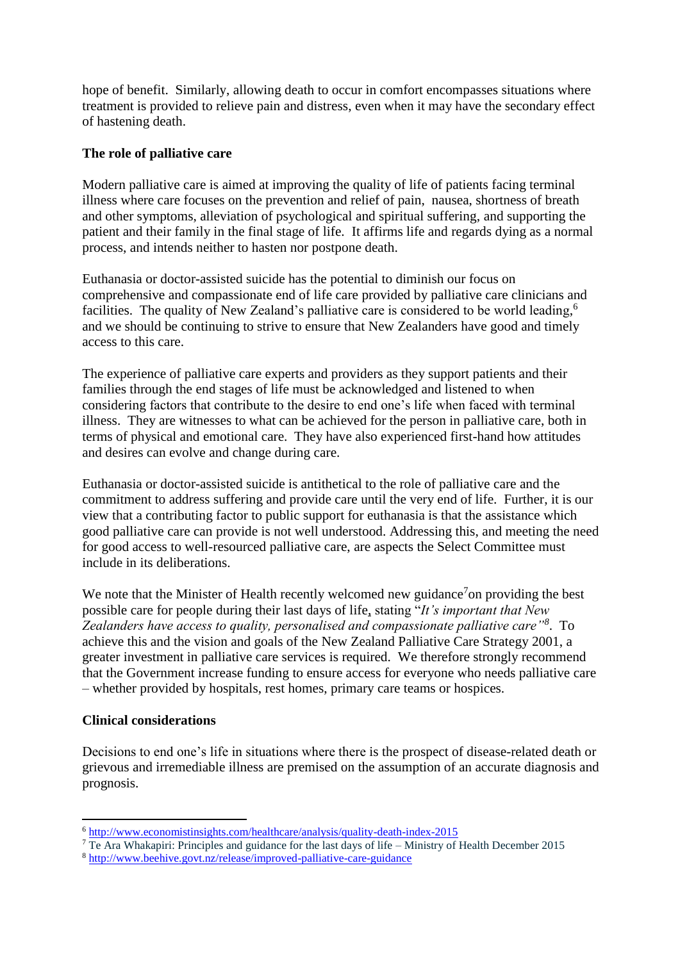hope of benefit. Similarly, allowing death to occur in comfort encompasses situations where treatment is provided to relieve pain and distress, even when it may have the secondary effect of hastening death.

### **The role of palliative care**

Modern palliative care is aimed at improving the quality of life of patients facing terminal illness where care focuses on the prevention and relief of pain, nausea, shortness of breath and other symptoms, alleviation of psychological and spiritual suffering, and supporting the patient and their family in the final stage of life. It affirms life and regards dying as a normal process, and intends neither to hasten nor postpone death.

Euthanasia or doctor-assisted suicide has the potential to diminish our focus on comprehensive and compassionate end of life care provided by palliative care clinicians and facilities. The quality of New Zealand's palliative care is considered to be world leading,<sup>6</sup> and we should be continuing to strive to ensure that New Zealanders have good and timely access to this care.

The experience of palliative care experts and providers as they support patients and their families through the end stages of life must be acknowledged and listened to when considering factors that contribute to the desire to end one's life when faced with terminal illness. They are witnesses to what can be achieved for the person in palliative care, both in terms of physical and emotional care. They have also experienced first-hand how attitudes and desires can evolve and change during care.

Euthanasia or doctor-assisted suicide is antithetical to the role of palliative care and the commitment to address suffering and provide care until the very end of life. Further, it is our view that a contributing factor to public support for euthanasia is that the assistance which good palliative care can provide is not well understood. Addressing this, and meeting the need for good access to well-resourced palliative care, are aspects the Select Committee must include in its deliberations.

We note that the Minister of Health recently welcomed new guidance<sup>7</sup> on providing the best possible care for people during their last days of life, stating "*It's important that New Zealanders have access to quality, personalised and compassionate palliative care"<sup>8</sup>* . To achieve this and the vision and goals of the New Zealand Palliative Care Strategy 2001, a greater investment in palliative care services is required. We therefore strongly recommend that the Government increase funding to ensure access for everyone who needs palliative care – whether provided by hospitals, rest homes, primary care teams or hospices.

### **Clinical considerations**

**.** 

Decisions to end one's life in situations where there is the prospect of disease-related death or grievous and irremediable illness are premised on the assumption of an accurate diagnosis and prognosis.

<sup>6</sup> <http://www.economistinsights.com/healthcare/analysis/quality-death-index-2015>

<sup>&</sup>lt;sup>7</sup> Te Ara Whakapiri: Principles and guidance for the last days of life – Ministry of Health December 2015

<sup>8</sup> <http://www.beehive.govt.nz/release/improved-palliative-care-guidance>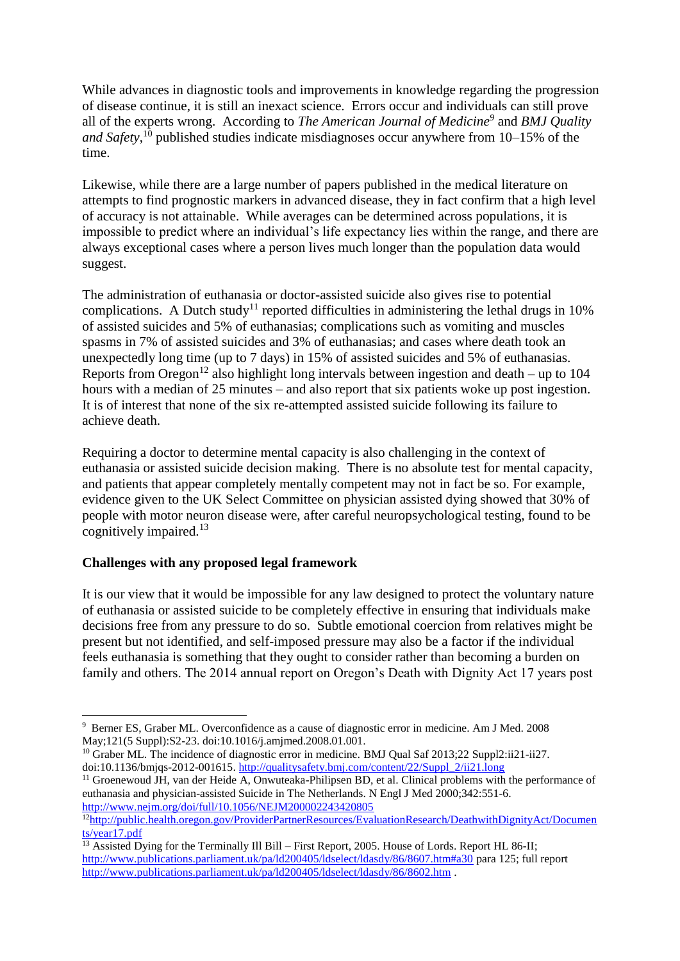While advances in diagnostic tools and improvements in knowledge regarding the progression of disease continue, it is still an inexact science. Errors occur and individuals can still prove all of the experts wrong. According to *The American Journal of Medicine<sup>9</sup>* and *BMJ Quality*  and Safety,<sup>10</sup> published studies indicate misdiagnoses occur anywhere from 10–15% of the time.

Likewise, while there are a large number of papers published in the medical literature on attempts to find prognostic markers in advanced disease, they in fact confirm that a high level of accuracy is not attainable. While averages can be determined across populations, it is impossible to predict where an individual's life expectancy lies within the range, and there are always exceptional cases where a person lives much longer than the population data would suggest.

The administration of euthanasia or doctor-assisted suicide also gives rise to potential complications. A Dutch study<sup>11</sup> reported difficulties in administering the lethal drugs in  $10\%$ of assisted suicides and 5% of euthanasias; complications such as vomiting and muscles spasms in 7% of assisted suicides and 3% of euthanasias; and cases where death took an unexpectedly long time (up to 7 days) in 15% of assisted suicides and 5% of euthanasias. Reports from Oregon<sup>12</sup> also highlight long intervals between ingestion and death – up to 104 hours with a median of 25 minutes – and also report that six patients woke up post ingestion. It is of interest that none of the six re-attempted assisted suicide following its failure to achieve death.

Requiring a doctor to determine mental capacity is also challenging in the context of euthanasia or assisted suicide decision making. There is no absolute test for mental capacity, and patients that appear completely mentally competent may not in fact be so. For example, evidence given to the UK Select Committee on physician assisted dying showed that 30% of people with motor neuron disease were, after careful neuropsychological testing, found to be cognitively impaired.<sup>13</sup>

## **Challenges with any proposed legal framework**

It is our view that it would be impossible for any law designed to protect the voluntary nature of euthanasia or assisted suicide to be completely effective in ensuring that individuals make decisions free from any pressure to do so. Subtle emotional coercion from relatives might be present but not identified, and self-imposed pressure may also be a factor if the individual feels euthanasia is something that they ought to consider rather than becoming a burden on family and others. The 2014 annual report on Oregon's Death with Dignity Act 17 years post

<sup>1</sup> <sup>9</sup> Berner ES, Graber ML. Overconfidence as a cause of diagnostic error in medicine. Am J Med. 2008 May;121(5 Suppl):S2-23. doi:10.1016/j.amjmed.2008.01.001.

<sup>&</sup>lt;sup>10</sup> Graber ML. The incidence of diagnostic error in medicine. BMJ Qual Saf 2013;22 Suppl2:ii21-ii27. doi:10.1136/bmjqs-2012-001615. [http://qualitysafety.bmj.com/content/22/Suppl\\_2/ii21.long](http://qualitysafety.bmj.com/content/22/Suppl_2/ii21.long)

<sup>&</sup>lt;sup>11</sup> Groenewoud JH, van der Heide A, Onwuteaka-Philipsen BD, et al. Clinical problems with the performance of euthanasia and physician-assisted Suicide in The Netherlands. N Engl J Med 2000;342:551-6. <http://www.nejm.org/doi/full/10.1056/NEJM200002243420805>

<sup>&</sup>lt;sup>12</sup>[http://public.health.oregon.gov/ProviderPartnerResources/EvaluationResearch/DeathwithDignityAct/Documen](http://public.health.oregon.gov/ProviderPartnerResources/EvaluationResearch/DeathwithDignityAct/Documents/year17.pdf) [ts/year17.pdf](http://public.health.oregon.gov/ProviderPartnerResources/EvaluationResearch/DeathwithDignityAct/Documents/year17.pdf)

<sup>&</sup>lt;sup>13</sup> Assisted Dying for the Terminally Ill Bill – First Report, 2005. House of Lords. Report HL 86-II; <http://www.publications.parliament.uk/pa/ld200405/ldselect/ldasdy/86/8607.htm#a30> para 125; full report <http://www.publications.parliament.uk/pa/ld200405/ldselect/ldasdy/86/8602.htm> .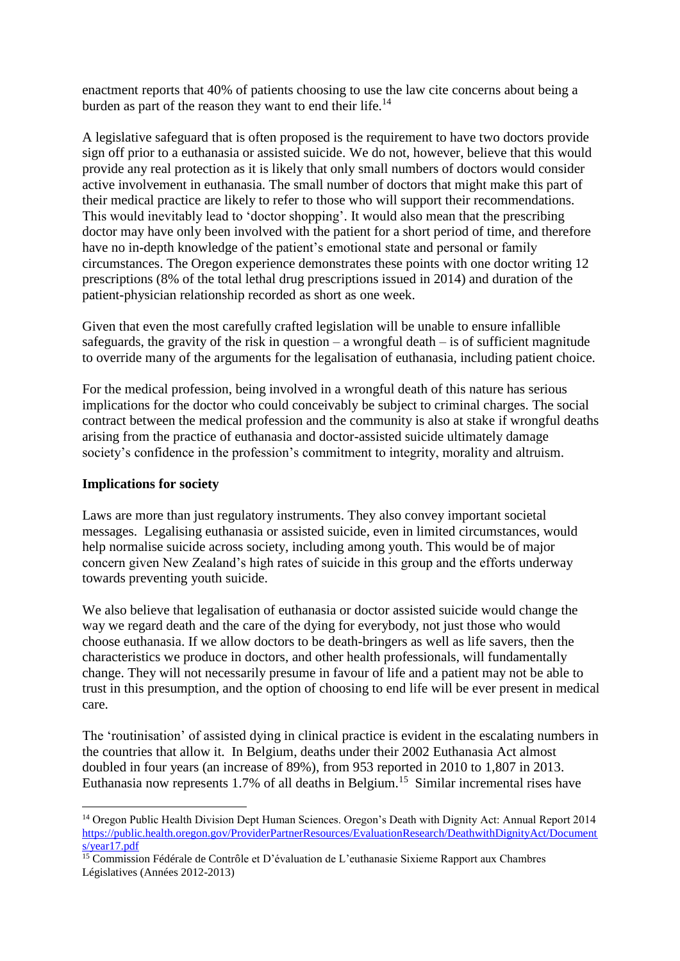enactment reports that 40% of patients choosing to use the law cite concerns about being a burden as part of the reason they want to end their life.<sup>14</sup>

A legislative safeguard that is often proposed is the requirement to have two doctors provide sign off prior to a euthanasia or assisted suicide. We do not, however, believe that this would provide any real protection as it is likely that only small numbers of doctors would consider active involvement in euthanasia. The small number of doctors that might make this part of their medical practice are likely to refer to those who will support their recommendations. This would inevitably lead to 'doctor shopping'. It would also mean that the prescribing doctor may have only been involved with the patient for a short period of time, and therefore have no in-depth knowledge of the patient's emotional state and personal or family circumstances. The Oregon experience demonstrates these points with one doctor writing 12 prescriptions (8% of the total lethal drug prescriptions issued in 2014) and duration of the patient-physician relationship recorded as short as one week.

Given that even the most carefully crafted legislation will be unable to ensure infallible safeguards, the gravity of the risk in question – a wrongful death – is of sufficient magnitude to override many of the arguments for the legalisation of euthanasia, including patient choice.

For the medical profession, being involved in a wrongful death of this nature has serious implications for the doctor who could conceivably be subject to criminal charges. The social contract between the medical profession and the community is also at stake if wrongful deaths arising from the practice of euthanasia and doctor-assisted suicide ultimately damage society's confidence in the profession's commitment to integrity, morality and altruism.

### **Implications for society**

Laws are more than just regulatory instruments. They also convey important societal messages. Legalising euthanasia or assisted suicide, even in limited circumstances, would help normalise suicide across society, including among youth. This would be of major concern given New Zealand's high rates of suicide in this group and the efforts underway towards preventing youth suicide.

We also believe that legalisation of euthanasia or doctor assisted suicide would change the way we regard death and the care of the dying for everybody, not just those who would choose euthanasia. If we allow doctors to be death-bringers as well as life savers, then the characteristics we produce in doctors, and other health professionals, will fundamentally change. They will not necessarily presume in favour of life and a patient may not be able to trust in this presumption, and the option of choosing to end life will be ever present in medical care.

The 'routinisation' of assisted dying in clinical practice is evident in the escalating numbers in the countries that allow it. In Belgium, deaths under their 2002 Euthanasia Act almost doubled in four years (an increase of 89%), from 953 reported in 2010 to 1,807 in 2013. Euthanasia now represents 1.7% of all deaths in Belgium.<sup>15</sup> Similar incremental rises have

**<sup>.</sup>** <sup>14</sup> Oregon Public Health Division Dept Human Sciences. Oregon's Death with Dignity Act: Annual Report 2014 [https://public.health.oregon.gov/ProviderPartnerResources/EvaluationResearch/DeathwithDignityAct/Document](https://public.health.oregon.gov/ProviderPartnerResources/EvaluationResearch/DeathwithDignityAct/Documents/year17.pdf) [s/year17.pdf](https://public.health.oregon.gov/ProviderPartnerResources/EvaluationResearch/DeathwithDignityAct/Documents/year17.pdf)

 $15$  Commission Fédérale de Contrôle et D'évaluation de L'euthanasie Sixieme Rapport aux Chambres Législatives (Années 2012-2013)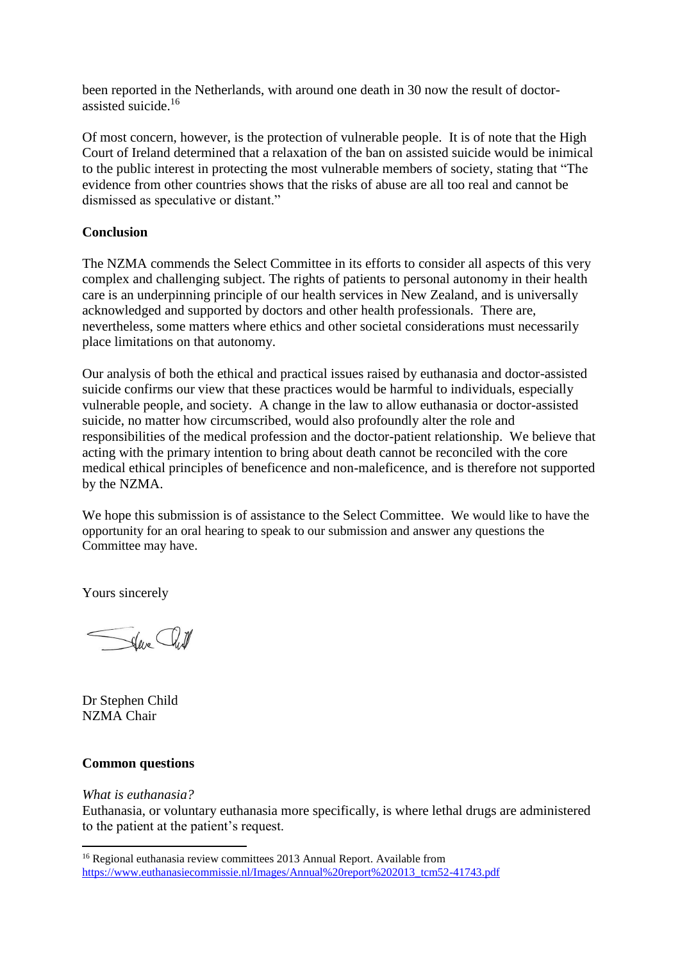been reported in the Netherlands, with around one death in 30 now the result of doctorassisted suicide.<sup>16</sup>

Of most concern, however, is the protection of vulnerable people. It is of note that the High Court of Ireland determined that a relaxation of the ban on assisted suicide would be inimical to the public interest in protecting the most vulnerable members of society, stating that "The evidence from other countries shows that the risks of abuse are all too real and cannot be dismissed as speculative or distant."

## **Conclusion**

The NZMA commends the Select Committee in its efforts to consider all aspects of this very complex and challenging subject. The rights of patients to personal autonomy in their health care is an underpinning principle of our health services in New Zealand, and is universally acknowledged and supported by doctors and other health professionals. There are, nevertheless, some matters where ethics and other societal considerations must necessarily place limitations on that autonomy.

Our analysis of both the ethical and practical issues raised by euthanasia and doctor-assisted suicide confirms our view that these practices would be harmful to individuals, especially vulnerable people, and society. A change in the law to allow euthanasia or doctor-assisted suicide, no matter how circumscribed, would also profoundly alter the role and responsibilities of the medical profession and the doctor-patient relationship. We believe that acting with the primary intention to bring about death cannot be reconciled with the core medical ethical principles of beneficence and non-maleficence, and is therefore not supported by the NZMA.

We hope this submission is of assistance to the Select Committee. We would like to have the opportunity for an oral hearing to speak to our submission and answer any questions the Committee may have.

Yours sincerely

Sur Cult

Dr Stephen Child NZMA Chair

### **Common questions**

## *What is euthanasia?*

**.** 

Euthanasia, or voluntary euthanasia more specifically, is where lethal drugs are administered to the patient at the patient's request.

<sup>16</sup> Regional euthanasia review committees 2013 Annual Report. Available from [https://www.euthanasiecommissie.nl/Images/Annual%20report%202013\\_tcm52-41743.pdf](https://www.euthanasiecommissie.nl/Images/Annual%20report%202013_tcm52-41743.pdf)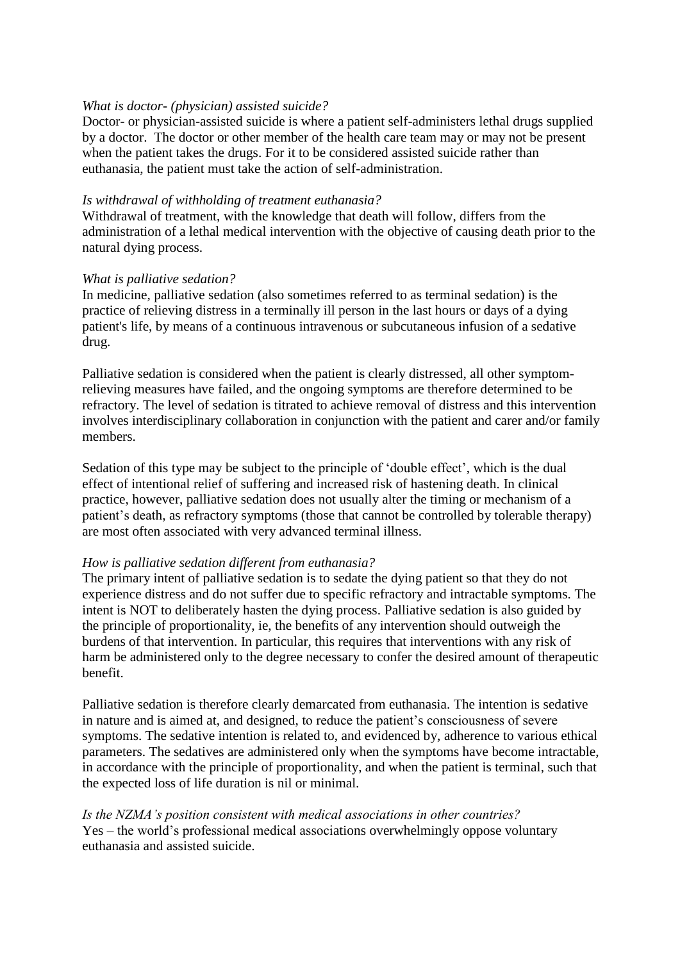### *What is doctor- (physician) assisted suicide?*

Doctor- or physician-assisted suicide is where a patient self-administers lethal drugs supplied by a doctor. The doctor or other member of the health care team may or may not be present when the patient takes the drugs. For it to be considered assisted suicide rather than euthanasia, the patient must take the action of self-administration.

#### *Is withdrawal of withholding of treatment euthanasia?*

Withdrawal of treatment, with the knowledge that death will follow, differs from the administration of a lethal medical intervention with the objective of causing death prior to the natural dying process.

#### *What is palliative sedation?*

In medicine, palliative sedation (also sometimes referred to as terminal sedation) is the practice of relieving distress in a terminally ill person in the last hours or days of a dying patient's life, by means of a continuous intravenous or subcutaneous infusion of a sedative drug.

Palliative sedation is considered when the patient is clearly distressed, all other symptomrelieving measures have failed, and the ongoing symptoms are therefore determined to be refractory. The level of sedation is titrated to achieve removal of distress and this intervention involves interdisciplinary collaboration in conjunction with the patient and carer and/or family members.

Sedation of this type may be subject to the principle of 'double effect', which is the dual effect of intentional relief of suffering and increased risk of hastening death. In clinical practice, however, palliative sedation does not usually alter the timing or mechanism of a patient's death, as refractory symptoms (those that cannot be controlled by tolerable therapy) are most often associated with very advanced terminal illness.

#### *How is palliative sedation different from euthanasia?*

The primary intent of palliative sedation is to sedate the dying patient so that they do not experience distress and do not suffer due to specific refractory and intractable symptoms. The intent is NOT to deliberately hasten the dying process. Palliative sedation is also guided by the principle of proportionality, ie, the benefits of any intervention should outweigh the burdens of that intervention. In particular, this requires that interventions with any risk of harm be administered only to the degree necessary to confer the desired amount of therapeutic benefit.

Palliative sedation is therefore clearly demarcated from euthanasia. The intention is sedative in nature and is aimed at, and designed, to reduce the patient's consciousness of severe symptoms. The sedative intention is related to, and evidenced by, adherence to various ethical parameters. The sedatives are administered only when the symptoms have become intractable, in accordance with the principle of proportionality, and when the patient is terminal, such that the expected loss of life duration is nil or minimal.

*Is the NZMA's position consistent with medical associations in other countries?* Yes – the world's professional medical associations overwhelmingly oppose voluntary euthanasia and assisted suicide.